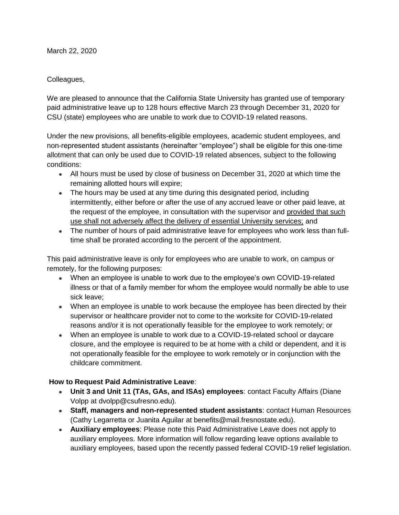March 22, 2020

## Colleagues,

We are pleased to announce that the California State University has granted use of temporary paid administrative leave up to 128 hours effective March 23 through December 31, 2020 for CSU (state) employees who are unable to work due to COVID-19 related reasons.

Under the new provisions, all benefits-eligible employees, academic student employees, and non-represented student assistants (hereinafter "employee") shall be eligible for this one-time allotment that can only be used due to COVID-19 related absences, subject to the following conditions:

- All hours must be used by close of business on December 31, 2020 at which time the remaining allotted hours will expire;
- The hours may be used at any time during this designated period, including intermittently, either before or after the use of any accrued leave or other paid leave, at the request of the employee, in consultation with the supervisor and provided that such use shall not adversely affect the delivery of essential University services; and
- The number of hours of paid administrative leave for employees who work less than fulltime shall be prorated according to the percent of the appointment.

This paid administrative leave is only for employees who are unable to work, on campus or remotely, for the following purposes:

- When an employee is unable to work due to the employee's own COVID-19-related illness or that of a family member for whom the employee would normally be able to use sick leave;
- When an employee is unable to work because the employee has been directed by their supervisor or healthcare provider not to come to the worksite for COVID-19-related reasons and/or it is not operationally feasible for the employee to work remotely; or
- When an employee is unable to work due to a COVID-19-related school or daycare closure, and the employee is required to be at home with a child or dependent, and it is not operationally feasible for the employee to work remotely or in conjunction with the childcare commitment.

## **How to Request Paid Administrative Leave**:

- **Unit 3 and Unit 11 (TAs, GAs, and ISAs) employees**: contact Faculty Affairs (Diane Volpp at dvolpp@csufresno.edu).
- **Staff, managers and non-represented student assistants**: contact Human Resources (Cathy Legarretta or Juanita Aguilar at benefits@mail.fresnostate.edu).
- **Auxiliary employees**: Please note this Paid Administrative Leave does not apply to auxiliary employees. More information will follow regarding leave options available to auxiliary employees, based upon the recently passed federal COVID-19 relief legislation.